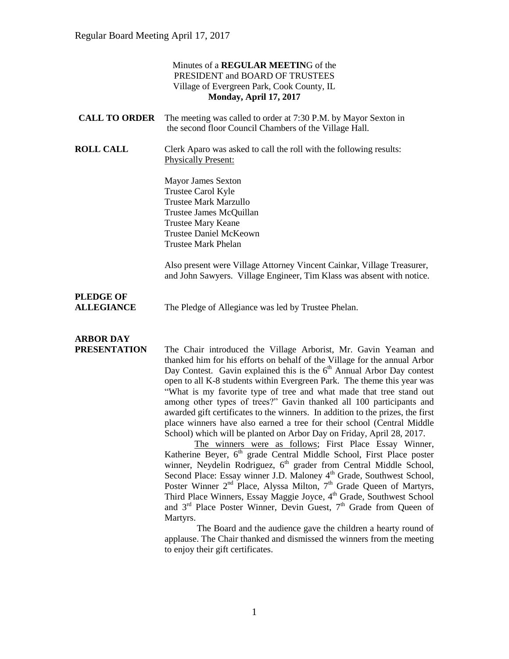|                                       | Minutes of a <b>REGULAR MEETING</b> of the<br>PRESIDENT and BOARD OF TRUSTEES<br>Village of Evergreen Park, Cook County, IL<br>Monday, April 17, 2017                                                  |
|---------------------------------------|--------------------------------------------------------------------------------------------------------------------------------------------------------------------------------------------------------|
| <b>CALL TO ORDER</b>                  | The meeting was called to order at 7:30 P.M. by Mayor Sexton in<br>the second floor Council Chambers of the Village Hall.                                                                              |
| <b>ROLL CALL</b>                      | Clerk Aparo was asked to call the roll with the following results:<br><b>Physically Present:</b>                                                                                                       |
|                                       | <b>Mayor James Sexton</b><br>Trustee Carol Kyle<br><b>Trustee Mark Marzullo</b><br>Trustee James McQuillan<br><b>Trustee Mary Keane</b><br><b>Trustee Daniel McKeown</b><br><b>Trustee Mark Phelan</b> |
|                                       | Also present were Village Attorney Vincent Cainkar, Village Treasurer,<br>and John Sawyers. Village Engineer, Tim Klass was absent with notice.                                                        |
| <b>PLEDGE OF</b><br><b>ALLEGIANCE</b> | The Pledge of Allegiance was led by Trustee Phelan.                                                                                                                                                    |
| <b>ARBOR DAY</b><br>PRESENTATION      | The Chair introduced the Village Arborist, Mr. Gavin Yeaman and<br>thanked him for his efforts on behalf of the Village for the annual Arbor                                                           |

thanked him for his efforts on behalf of the Village for the annual Arbor Day Contest. Gavin explained this is the  $6<sup>th</sup>$  Annual Arbor Day contest open to all K-8 students within Evergreen Park. The theme this year was "What is my favorite type of tree and what made that tree stand out among other types of trees?" Gavin thanked all 100 participants and awarded gift certificates to the winners. In addition to the prizes, the first place winners have also earned a tree for their school (Central Middle School) which will be planted on Arbor Day on Friday, April 28, 2017.

The winners were as follows; First Place Essay Winner, Katherine Beyer,  $6<sup>th</sup>$  grade Central Middle School, First Place poster winner, Neydelin Rodriguez, 6<sup>th</sup> grader from Central Middle School, Second Place: Essay winner J.D. Maloney 4<sup>th</sup> Grade, Southwest School, Poster Winner  $2<sup>nd</sup>$  Place, Alyssa Milton,  $7<sup>th</sup>$  Grade Queen of Martyrs, Third Place Winners, Essay Maggie Joyce, 4<sup>th</sup> Grade, Southwest School and  $3<sup>rd</sup>$  Place Poster Winner, Devin Guest,  $7<sup>th</sup>$  Grade from Queen of Martyrs.

The Board and the audience gave the children a hearty round of applause. The Chair thanked and dismissed the winners from the meeting to enjoy their gift certificates.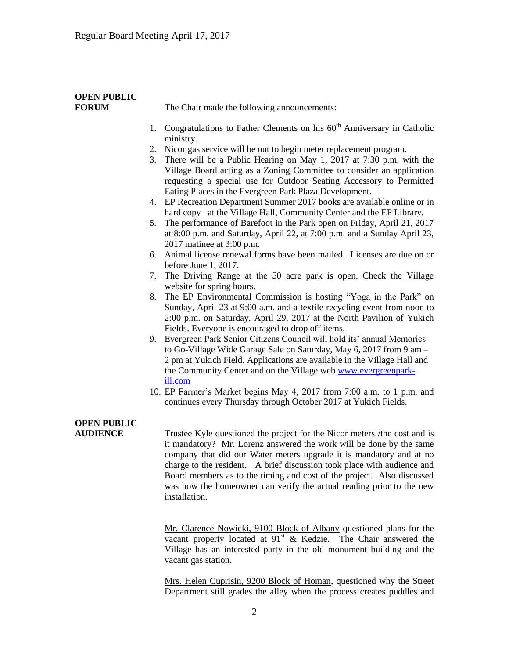# **OPEN PUBLIC**

**FORUM** The Chair made the following announcements:

- 1. Congratulations to Father Clements on his  $60<sup>th</sup>$  Anniversary in Catholic ministry.
- 2. Nicor gas service will be out to begin meter replacement program.
- 3. There will be a Public Hearing on May 1, 2017 at 7:30 p.m. with the Village Board acting as a Zoning Committee to consider an application requesting a special use for Outdoor Seating Accessory to Permitted Eating Places in the Evergreen Park Plaza Development.
- 4. EP Recreation Department Summer 2017 books are available online or in hard copy at the Village Hall, Community Center and the EP Library.
- 5. The performance of Barefoot in the Park open on Friday, April 21, 2017 at 8:00 p.m. and Saturday, April 22, at 7:00 p.m. and a Sunday April 23, 2017 matinee at 3:00 p.m.
- 6. Animal license renewal forms have been mailed. Licenses are due on or before June 1, 2017.
- 7. The Driving Range at the 50 acre park is open. Check the Village website for spring hours.
- 8. The EP Environmental Commission is hosting "Yoga in the Park" on Sunday, April 23 at 9:00 a.m. and a textile recycling event from noon to 2:00 p.m. on Saturday, April 29, 2017 at the North Pavilion of Yukich Fields. Everyone is encouraged to drop off items.
- 9. Evergreen Park Senior Citizens Council will hold its' annual Memories to Go-Village Wide Garage Sale on Saturday, May 6, 2017 from 9 am – 2 pm at Yukich Field. Applications are available in the Village Hall and the Community Center and on the Village web [www.evergreenpark](http://www.evergreenpark-ill.com/)[ill.com](http://www.evergreenpark-ill.com/)
- 10. EP Farmer's Market begins May 4, 2017 from 7:00 a.m. to 1 p.m. and continues every Thursday through October 2017 at Yukich Fields.

## **OPEN PUBLIC**

**AUDIENCE** Trustee Kyle questioned the project for the Nicor meters /the cost and is it mandatory? Mr. Lorenz answered the work will be done by the same company that did our Water meters upgrade it is mandatory and at no charge to the resident. A brief discussion took place with audience and Board members as to the timing and cost of the project. Also discussed was how the homeowner can verify the actual reading prior to the new installation.

> Mr. Clarence Nowicki, 9100 Block of Albany questioned plans for the vacant property located at 91<sup>st</sup> & Kedzie. The Chair answered the Village has an interested party in the old monument building and the vacant gas station.

> Mrs. Helen Cuprisin, 9200 Block of Homan, questioned why the Street Department still grades the alley when the process creates puddles and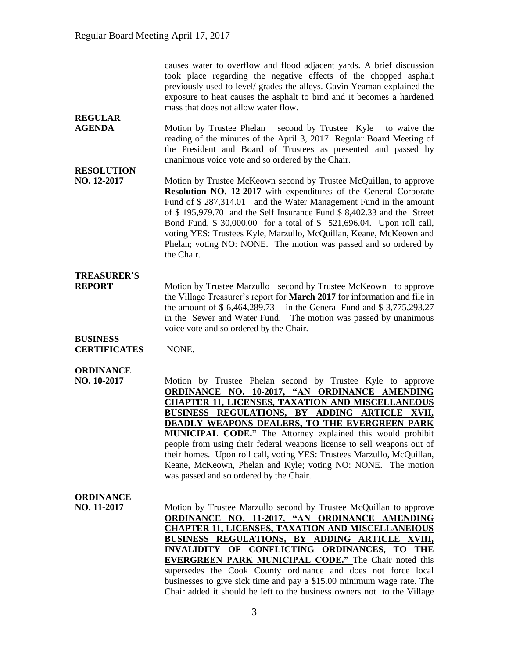causes water to overflow and flood adjacent yards. A brief discussion took place regarding the negative effects of the chopped asphalt previously used to level/ grades the alleys. Gavin Yeaman explained the exposure to heat causes the asphalt to bind and it becomes a hardened mass that does not allow water flow.

**AGENDA** Motion by Trustee Phelan second by Trustee Kyle to waive the reading of the minutes of the April 3, 2017 Regular Board Meeting of the President and Board of Trustees as presented and passed by unanimous voice vote and so ordered by the Chair.

## **RESOLUTION**

**REGULAR** 

**NO. 12-2017** Motion by Trustee McKeown second by Trustee McQuillan, to approve **Resolution NO. 12-2017** with expenditures of the General Corporate Fund of \$287,314.01 and the Water Management Fund in the amount of \$ 195,979.70 and the Self Insurance Fund \$ 8,402.33 and the Street Bond Fund, \$ 30,000.00 for a total of \$ 521,696.04. Upon roll call, voting YES: Trustees Kyle, Marzullo, McQuillan, Keane, McKeown and Phelan; voting NO: NONE. The motion was passed and so ordered by the Chair.

#### **TREASURER'S**

**REPORT** Motion by Trustee Marzullo second by Trustee McKeown to approve the Village Treasurer's report for **March 2017** for information and file in the amount of \$ 6,464,289.73 in the General Fund and \$ 3,775,293.27 in the Sewer and Water Fund. The motion was passed by unanimous voice vote and so ordered by the Chair.

#### **BUSINESS CERTIFICATES** NONE.

#### **ORDINANCE**

**NO. 10-2017** Motion by Trustee Phelan second by Trustee Kyle to approve **ORDINANCE NO. 10-2017, "AN ORDINANCE AMENDING CHAPTER 11, LICENSES, TAXATION AND MISCELLANEOUS BUSINESS REGULATIONS, BY ADDING ARTICLE XVII, DEADLY WEAPONS DEALERS, TO THE EVERGREEN PARK MUNICIPAL CODE."** The Attorney explained this would prohibit people from using their federal weapons license to sell weapons out of their homes. Upon roll call, voting YES: Trustees Marzullo, McQuillan, Keane, McKeown, Phelan and Kyle; voting NO: NONE. The motion was passed and so ordered by the Chair.

#### **ORDINANCE**

**NO. 11-2017** Motion by Trustee Marzullo second by Trustee McQuillan to approve **ORDINANCE NO. 11-2017, "AN ORDINANCE AMENDING CHAPTER 11, LICENSES, TAXATION AND MISCELLANEIOUS BUSINESS REGULATIONS, BY ADDING ARTICLE XVIII, INVALIDITY OF CONFLICTING ORDINANCES, TO THE EVERGREEN PARK MUNICIPAL CODE."** The Chair noted this supersedes the Cook County ordinance and does not force local businesses to give sick time and pay a \$15.00 minimum wage rate. The Chair added it should be left to the business owners not to the Village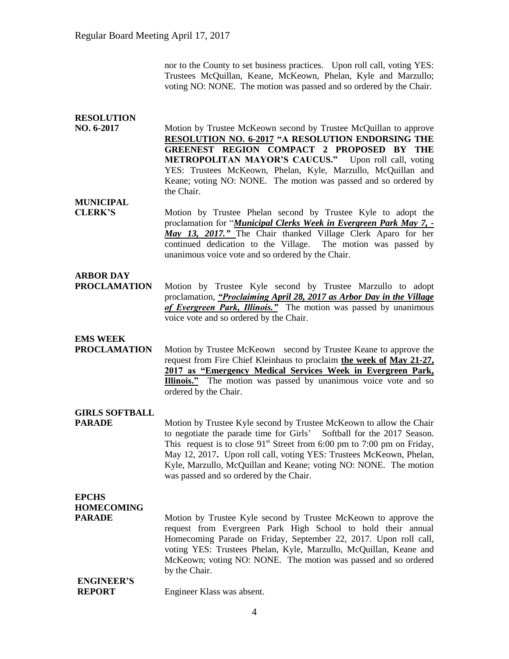nor to the County to set business practices. Upon roll call, voting YES: Trustees McQuillan, Keane, McKeown, Phelan, Kyle and Marzullo; voting NO: NONE. The motion was passed and so ordered by the Chair.

#### **RESOLUTION**

**NO. 6-2017** Motion by Trustee McKeown second by Trustee McQuillan to approve **RESOLUTION NO. 6-2017 "A RESOLUTION ENDORSING THE GREENEST REGION COMPACT 2 PROPOSED BY THE METROPOLITAN MAYOR'S CAUCUS."** Upon roll call, voting YES: Trustees McKeown, Phelan, Kyle, Marzullo, McQuillan and Keane; voting NO: NONE. The motion was passed and so ordered by the Chair.

**MUNICIPAL**

**CLERK'S** Motion by Trustee Phelan second by Trustee Kyle to adopt the proclamation for "*Municipal Clerks Week in Evergreen Park May 7, - May 13, 2017."* The Chair thanked Village Clerk Aparo for her continued dedication to the Village. The motion was passed by unanimous voice vote and so ordered by the Chair.

#### **ARBOR DAY**

**PROCLAMATION** Motion by Trustee Kyle second by Trustee Marzullo to adopt proclamation, *"Proclaiming April 28, 2017 as Arbor Day in the Village of Evergreen Park, Illinois."* The motion was passed by unanimous voice vote and so ordered by the Chair.

#### **EMS WEEK**

**PROCLAMATION** Motion by Trustee McKeown second by Trustee Keane to approve the request from Fire Chief Kleinhaus to proclaim **the week of May 21-27, 2017 as "Emergency Medical Services Week in Evergreen Park, Illinois."** The motion was passed by unanimous voice vote and so ordered by the Chair.

#### **GIRLS SOFTBALL**

**PARADE** Motion by Trustee Kyle second by Trustee McKeown to allow the Chair to negotiate the parade time for Girls' Softball for the 2017 Season. This request is to close  $91<sup>st</sup>$  Street from 6:00 pm to 7:00 pm on Friday, May 12, 2017**.** Upon roll call, voting YES: Trustees McKeown, Phelan, Kyle, Marzullo, McQuillan and Keane; voting NO: NONE. The motion was passed and so ordered by the Chair.

## **EPCHS HOMECOMING**

**PARADE** Motion by Trustee Kyle second by Trustee McKeown to approve the request from Evergreen Park High School to hold their annual Homecoming Parade on Friday, September 22, 2017. Upon roll call, voting YES: Trustees Phelan, Kyle, Marzullo, McQuillan, Keane and McKeown; voting NO: NONE. The motion was passed and so ordered by the Chair.

#### **ENGINEER'S REPORT** Engineer Klass was absent.